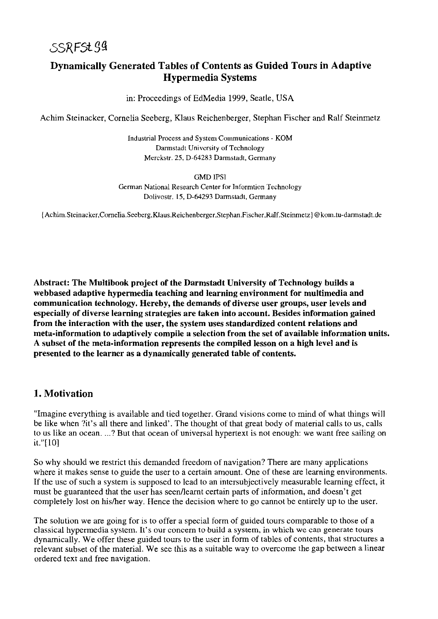## Dynamically Generated Tables of Contents as Guided Tours in Adaptive Hypermedia Systems

in: Proceedings of EdMedia 1999, Seatle, USA

Achim Steinacker, Cornelia Seeberg, Klaus Reichenberger, Stephan Fischer and Ralf Steinmetz

lndustrial Process and System Communications - KOM Darmstadt University of Technology Merckstr. 25, D-64283 Darmstadt, Germany

GMD IPSI

German National Research Center for lnformtion Technology Dolivostr. 15, D-64293 Darmstadt, Germany

{Achim.Steinacker,Cornelia.Seeberg,Klaus.Reichenberger,Stephan.Fischer,Ralf.Steinmetz}@kom.tu-darmstadt.de

Abstract: The Multibook project of the Darmstadt University of Technology builds a webbased adaptive hypermedia teaching and learning environment for multimedia and communication technology. Hereby, the demands of diverse User groups, User levels and especially of diverse learning strategies are taken into account. Besides information gained from the interaction with the user, the system uses standardized content relations and meta-information to adaptively compile a selection from the set of available information units. A subset of the meta-information represents the compiled lesson on a high level and is presented to the learner as a dynamically generated table of contents.

## 1. Motivation

"Imagine everything is available and tied together. Grand visions come to mind of what things will be like when ?it's all there and linked'. The thought of that great body of material calls to us, cails to us like an ocean. ...? But that ocean of universal hypertext is not enough: we want free sailing on it."[10]

So why should we restrict this demanded freedom of navigation? There are many applications where it makes sense to guide the user to a certain amount. One of these are learning environments. If the use of such a system is supposed to lead to an intersubjectively measurable learning effect, it must be guaranteed that the user has seen/learnt certain parts of information, and doesn't get completely lost on hislher way. Hence the decision where to go cannot be entirely up to the user.

The solution we are going for is to offer a special form of guided tours comparable to those of a classical hypermedia system. It's our concem to build a system, in which we can generate tours dynamically. We offer these guided tours to the user in form of tables of contents, that structures a relevant subset of the material. We see this as a suitable way to overcome the gap between a linear ordered text and free navigation.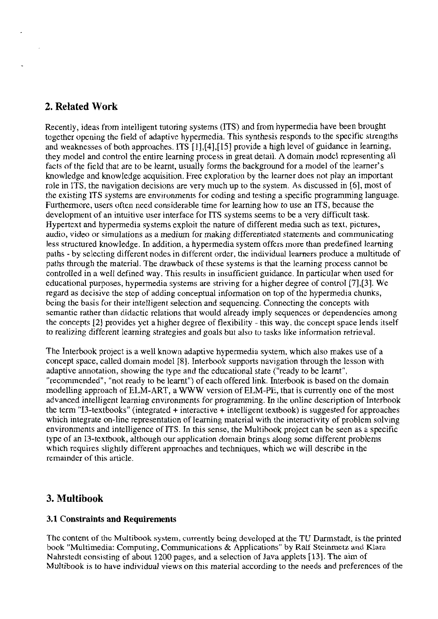## **2. Related Work**

Recently, ideas from intelligent tutoring systems (ITS) and from hypermedia have been brought together opening the field of adaptive hypermedia. This synthesis responds to the specific strengths and wcakncsses of both approaches. ITS [1],[4],[15] provide a high level of guidance in lcaming, they model and control the entire learning process in great detail. **A** domain modcl rcpresenting dl facts of the field that are to be learnt, usually forms the background for a model of the learner's knowledge and knowledge acquisition. Free exploration by the learner does not play an important role in ITS, the navigation decisions are very much up to the system. As discussed in [6], most of the existing ITS systems are environments for coding and testing a specific programming language. Furthermore, users often need considerable time for learning how to use an ITS, because the development of an intuitive user interface for ITS systems seems to be a very difficult task. Hypertcxt and hypermedia systems exploit the nature of different media such as text, pictures, audio, video or simulations as a medium for making differentiated Statements and communicating less structured knowledge. In addition, a hypermedia system offers morc than predefined learning paths - by selecting different nodes in different order, the individual learners produce a multitude of paths through the material. The drawback of these systems is that the learning process cannot be controlled in a well defined way. This results in insufficient guidance. In particular when used for educational purposes, hypermedia systems are striving for a higher degree of control [7],[3]. We regard as decisive thc stcp of adding conceptual information on top of the hypermedia chunks, being the basis for their intelligent selection and sequencing. Connecting the concepts with scmantic rather than didactic relations that would aiready imply sequences or dependencics among the concepts [21 provides yet a higher degree of flexibility - this way. the conccpt space lends itself to realizing different learning strategies and goals but also to tasks like information retrievai.

The Interbook project is a well known adaptive hypermedia system, which also makes use of a concept space, called domain model **[SI.** Interbook supports navigation through the lesson with adaptive annotation, showing the type and the educational state ("ready to be learnt", "recommended", "not ready to be learnt") of each offered link. Interbook is based on the domain modelling approach of ELM-ART, a WWW version of ELM-PE, that is currently onc of the most advanced intelligent leaming environments for programming. In lhe onlinc dcscription of Interbook the term "13-textbooks" (integrated + interactive + intelligent textbook) is suggested for approaches which integrate on-line representation of learning matcrial with the interactivity of problem solving environments and intelligence of ITS. In this sense, the Multibook project can be seen as a specific type of an 13-textbook, although our application domain brings along some different problems which requires slightly different approaches and techniques, which we will describe in the remainder of this article.

## **3. Multibook**

### **3.1 Constraints and Requirements**

The content of the Multibook system, currently being developed at the TU Darmstadt, is the printed book "Multimedia: Computing, Communications & Applications" by Ralf Steinmetz and Klara Nahrstedt consisting of about 1200 pages, and a selection of Java applets [13]. The aim of Multibook is to have individual views on this material according to the needs and preferences of the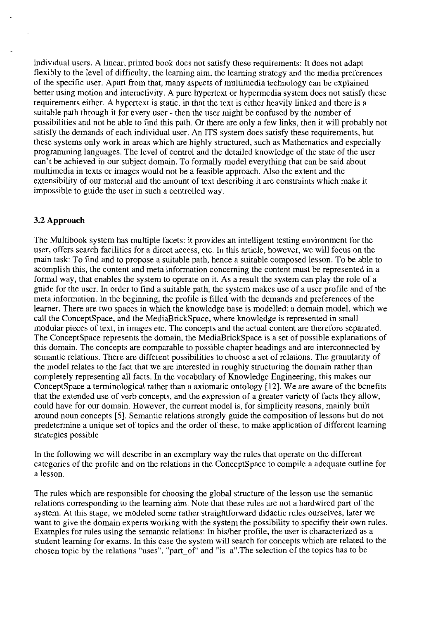individual Users. A linear, printed book does not satisfy these requirements: It does not adapt flexibly to the level of difficulty, the leaming aim, the leaming strategy and the media preferences of the specific user. Apart from that, many aspects of multimedia technology can be explained better using motion and interactivity. A pure hypertext or hypermedia system does not satisfy these requirements either. A hypertext is static, in that the text is either heavily linked and there is a suitable path through it for every user - then the user might be confused by the number of possibilities and not be able to find this path. Or there are only a few links, then it will probably not satisfy the demands of each individual user. An ITS system does satisfy these requirements, but these Systems only work in areas which are highly structured, such as Mathematics and especially programming languages. The level of control and the detailed knowledge of the state of the user can't be achieved in our subject domain. To formally model everything that can be said about multimedia in texts or images would not be a feasible approach. Also the extent and the extensibility of our material and the amount of text describing it are constraints which make it impossible to guide the User in such a controlled way.

#### **3.2 Approach**

The Multibook system has multiple facets: it provides an intelligent testing environment for the user, offers search facilities for a direct access, etc. In this article, however, we will focus on the main task: To find and to propose a suitable path, hence a suitable composed lesson. To be able to acomplish this, the content and meta information conceming the content must be represented in a formal way, that enables the system to operate on it. As a result the system can play the role of a guide for the user. In order to find a suitable path, the system makes use of a user profile and of the meta information. Ln the beginning, the profile is filled with the demands and preferences of the learner. There are two spaces in which the knowledge base is modelled: a domain model, which we call the ConceptSpace, and the MediaBnckSpace, where knowledge is represented in small modular pieces of text, in images etc. The concepts and the actual content are therefore separated. The ConceptSpace represents the domain, the MediaBrickSpace is a set of possible explanations of this domain. The concepts are comparable to possible chapter headings and are interconnected by semantic relations. There are different possibilities to choose a set of relations. The granularity of the model relates to the fact that we are interested in roughly structuring the domain rather than completely representing all facts. In the vocabulary of Knowledge Engineering, this makes our ConceptSpace a terminological rather than a axiomatic ontology **[12].** We are aware of the benefits that the extended use of verb concepts. and the expression of a greater variety of facts they allow, could have for our domain. However, the current model is, for simplicity reasons, mainly built around noun concepts **[SI.** Semantic relations strongly guide the composition of lessons but do not predeterrnine a unique set of topics and the order of these, to make application of different leaming strategies possible

In the following we will describe in an exemplary way the rules that operate on the different categories of the profile and on the relations in the ConceptSpace to compile a adequate outline for a lesson.

The rules which are responsible for choosing the global structure of the lesson use the semantic relations corresponding to the leaming aim. Note that these mles are not a hardwired part of the system. At this stage, we modeled some rather straightforward didactic rules ourselves, later we Want to give the domain experts working with the system the possibility to specifiy their own mles. Examples for rules using the semantic relations: In his/her profile, the user is characterized as a student learning for exams. In this case the system will search for concepts which are related to the chosen topic by the relations "uses", "part-of" and "is-a". The selection of the topics has to be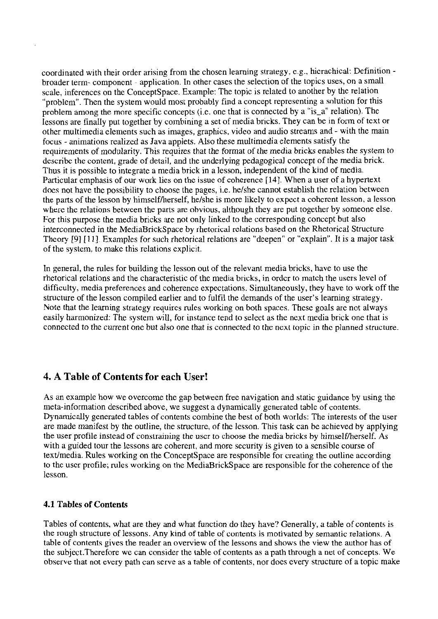coordinated with their order arising from the chosen learning strategy, e.g., hicrachical: Definition broader terni- componcnt - application. In other cases the selection of the topics uses, on a smali scale, inferences on the ConceptSpace. Example: The topic is related to another by the relation "problem". Then the system would most probably find a concept representing a solution for this problem among the more specific concepts (i.e. one that is connected by a "is\_a" relation). The lessons are finally put together by cornbining a set of media bricks. They can be in form of tcxt or other multimedia elements such as images, graphics, video and audio streams and - with the main focus - animations realized as Java applets. Also these multimedia elements satisfy the requirements of modularity. This requires that the format of the media bricks enables the system to describc the content, grade of detail, and the underlying pedagogical concept of the media brick. Thus it is possible to integrate a media brick in a lesson. independent of the kind of media. Particular emphasis of our work lies on the issue of coherence [14]. When a user of a hypertext **does** not have the possibility to choose the pages, i.e. helshe cannot establish the relation between the parts of the lesson by himselfherself, helshe is more likely to expect a cohcrcnt lesson, a lesson where the relations between the parts are obvious, although they are put together by someone else. For this purpose the media bricks are not only linked to the corresponding concept but also interconnected in the MediaBrickSpace by rhetorical rclations based on the Rhetorical Structure Theory [9] [11]. Examples for such rhetorical relations are "deepen" or "explain". It is a major task of the system. to make this relations explicit.

In general, the rules for building the lesson out of the relevant media bricks, have to use the rhetorical relations and the characteristic of the media bricks, in order to match the users level of difficulty, media preferences and coherence expectations. Simultaneously, they have to work off the structure of the lesson compiled earlier and to fulfil the demands of the user's learning strategy. Note that the learning strategy requircs rules working on both spaces. These goals are not always easily harmonized: The system will, for instance tend to select as the next media brick one that is connected to the current one but also one that is connected to the next topic in thc planned structure.

## **4. A Table of Contents for each User!**

As an example how we overcome the gap between free navigation and static guidance by using the meta-information described above, we suggest a dynamically generated tablc of contents. Dynamically generated tables of contents combine the best of both worlds: The interests of the user are made manifest by the outline, the structure. of the lesson. This task can be achieved by applying the user profile instead of constraining the user to choose the media bricks by himself/herself. As with a guided tour the lessons are coherent, and more security is given to a sensible course of textlmedia. Rules working on the ConceptSpace are responsible for creating the outline according to the uscr profile; rules working on the MediaBrickSpace are responsible for the coherence of the lesson.

### **4.1 Tables of Contents**

Tables of contents, what are they and what function do they have? Generally, a table of contents is the rough structure of lessons. Any kind of table of contents is motivated by sernantic relations. **A**  table of contents gives the reader an overview of the lessons and shows the view the author has of the subject.Therefore we can consider the table of contents as apatb through a net of concepts. We observe that not every path can serve as a table of contents. nor does every structure of a topic make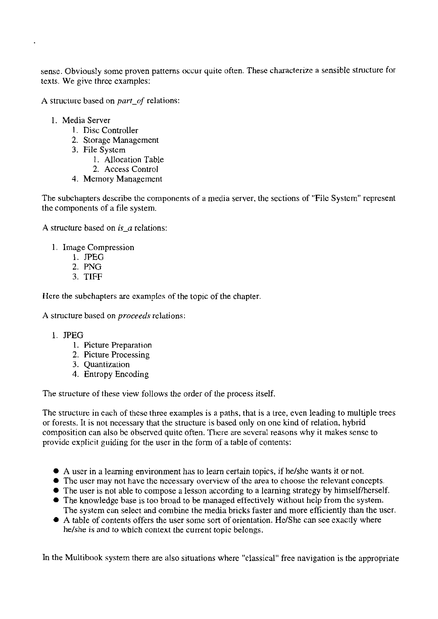sense. Obviously some proven patterns occur quite often. These characterize a sensible structure for texts. We give three examples:

A structure based on **part-of** relations:

- 1. Media Server
	- I. Disc Controller
	- 2. Storage Management
	- **3.** File Systcm
		- 1. Allocation Table
		- 2. Access Control
	- 4. Memory Management

The subchapters describe the components of a media server, the sections of "File System" represent the components of a file system.

A structure based on  $is_a$  relations:

- 1. Image Compression
	- 1. JPEG
	- 2. PNG
	- **3.** TIFF

Hcre the subchapters are examples of the topic of the chapter.

A structure based on *proceeds* relations:

#### 1. JPEG

- 1. Picture Preparation
- 2. Picture Processing
- **3.** Quantizalion
- 4. Entropy Encoding

The structure of these view follows the order of the process itself.

The structure in each of thcsc three examples is a paths, that is a tree, even leading to multiple trees or forests. It is not necessary that the structure is based only on one kind of relation, hybrid composition can also be observed quite often. There are several reasons why it makes sense to provide explicit guiding for the User in the form of a table of contents:

- A User in a learning environment has to learn certain topics, if he/she wants it or not.
- The User may not have the necessary overview of the area to choose the relevant concepts.
- The user is not able to compose a lesson according to a learning strategy by himself/herself.
- The knowledge base is too broad to be managed effectively without help from the system. The system can select and combine the media bricks faster and more efficiently than the user.
- A table of contents offers the user some sort of orientation. He/She can see exactly where he/she is and to which context the current topic belongs.

In the Multibook system there are also situations where "classical" free navigation is the appropriate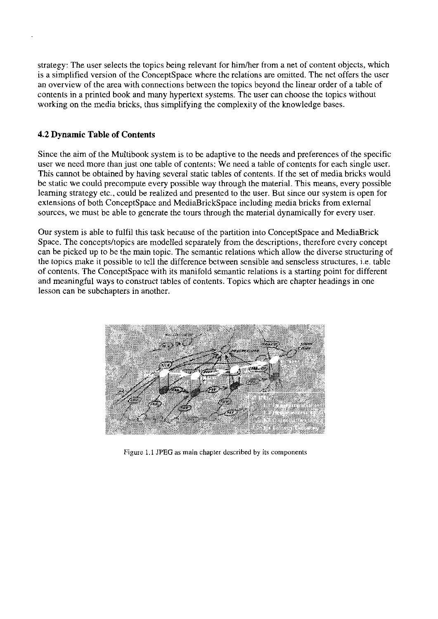strategy: The user selects the topics being relevant for him/her from a net of content objects, which is a simplified version of the ConceptSpace where the relations are omitted. The net offers the user an overview of the area with connections between the topics beyond the linear order of a table of contents in a printed book and many hypertext Systems. The User can choose the topics without working on the media bricks, thus simplifying the complexity of the knowledge bases.

#### **4.2 Dynamic Table of Contents**

Since the aim of the Multibook system is to be adaptive to the needs and preferences of the specific user we need more than just one table of contents: We need a table of contents for each single user. This cannot be obtained by having several static tables of contents. If the set of media bricks would be static we could precompute every possible way through the material. This means, every possible learning strategy etc., could be realized and presented to the user. But since our system is open for extensions of both ConceptSpace and MediaBrickSpace including media bricks from external sources, we must be able to generate the tours through the material dynamically for every user.

Our system is able to fulfil this task because of the partition into ConceptSpace and MediaBrick Space. The concepts/topics are modelled separately from the descriptions, therefore every concept can be picked up to be the main topic. The semantic relations which allow the diverse stmcturing of the topics make it possible to tell the difference between sensible and senseless structures, i.e. table of contents. The ConceptSpace with its manifold semantic relations is a starting point for different and meaningful ways to constmct tables of contents. Topics which are chapter headings in one lesson can be subchapters in another.



**Figure** 1.1 **JPEG as main chapter described by its cornponents**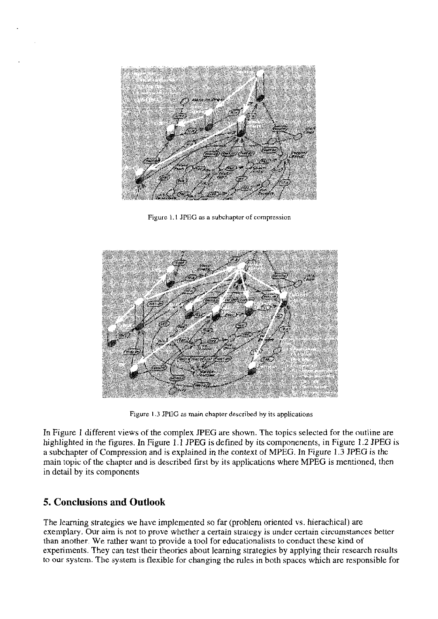

Figure 1.1 JPEG as a subchapter of compression



Figure 1.3 JFEG as main chapter described hy its applications

In Figure 1 different views of the complex JPEG are shown. Thc topics selected for the outline are highlighted in the figures. In Figure 1.1 JPEG is defined by its componenents, in Figure 1.2 JPEG is a subchapter of Compression and is explained in the context of MPEG. In Figure 1.3 JPEG is the main topic of the chaptcr and is described first by its applications where MPEG is mentioned, then in detail by its components

## **5. Conclusions and Outlook**

The learning strategies we have implemented so far (problem oriented vs. hierachical) are exemplary. Our aim is not to prove whether a certain strategy is under certain circumstances better than another. We rather Want to provide a tool for educationalists to conduct these kind of experiments. They can test their theories about leaming strategies by applying their research results to our systcm. The system is flexible for changing the mles in both spaces which are responsible for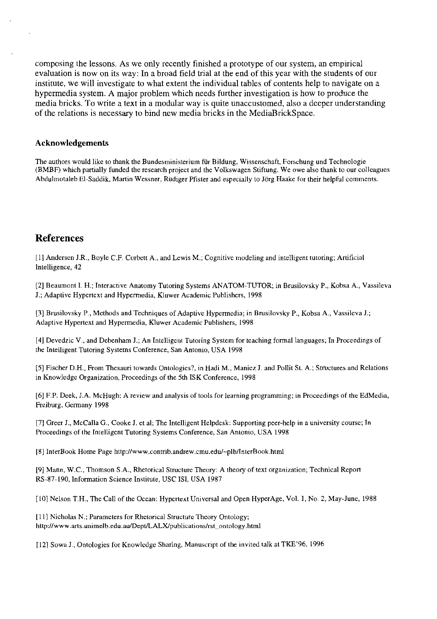composing the lessons. As we only recently finished a prototype of our system, an empirical evaluation is now on its way: In a broad field trial at the end of this year with the students of our institute, we will investigate to what extent the individual tables of contents help to navigate on a hypermedia system. A major problem which needs further investigation is how to produce the media bricks. To write a text in a modular way is quite unaccustomed, also a deeper understanding of the relations is necessary to bind new media bricks in the MediaBrickSpace.

#### **Acknowledgements**

The authors would like to thank the Bundesministerium für Bildung, Wissenschaft, Forschung und Technologie (BMBF) which partially funded the research project and the Volkswagen Stiftung. We owe also thank to our colleagues Abdulmotaleb EI-Saddik, Martin Wessner, Rüdiger Pfister and especially to Jörg Haake for their helpful comments.

#### **References**

[I] Andersen J.R., Boyle C.F. Corbett A., and Lewis M.; Cognitive modeling and intelligent tutoring; Artificial lntelligence, 42

[2] Beaumont 1. H.; Interactive Anatomy Tutoring Systems ANATOM-TUTOR; in Brusilovsky P., Kobsa A., Vassileva J.; Adaptive Hypertext and Hypermedia, Kluwer Academic Publishers, 1998

[31 Biusilovsky P., Methods and Techniques of Adaptive Hypermedia; in Brusilovsky P., Kobsa A., Vassileva J.; Adaptive Hypertext and Hypermedia, Kluwer Academic Publishers, 1998

[4] Devedzic V., and Debenham J.; An Intelligent Tutoring System for teaching formal languages; In Proceedings of the Intelligent Tutoring Systems Conference, San Antonio. USA 1998

[5] Fischer D.H., From Thesauri towards Ontologies?, in Hadi M., Maniez J. and Pollit St. A.; Stmctures and Relations in Knowledge Organization, Proceedings of the 5th ISK Conference, 1998

[6] F.P. Deek, J.A. McHugh: A review and analysis of tools for learning programming; in Proceedings of the EdMedia, Freiburg, Germany 1998

171 Greer J., McCalla G., Cooke J. et al; The Intelligent Helpdesk: Supporting peer-help in a university Course; In Proceedings of the Intelligent Tutoring Systems Conference, San Antonio, USA 1998

[8] InterBook Home Page **http://www.contrib.andrew.cmu.edu/-plblInterBook.html** 

[91 Mann, W.C., Thomson S.A., Rhetorical Structure Theory: A theory of text organization; Technical Report RS-87-190, Information Science Institute, USC ISI, USA 1987

[I01 Nelson T.H., The Ca11 of the Ocean: Hypertext Universal and Open HyperAge, Vol. I, No. **2,** May-June, 1988

L111 Nicholas N.; Parameters for Rhetorical Structure Theory Ontology; http://www.arts.unimelb.edu.au/Dept/LALX/publications/rst\_ontology.html

L121 Sowa J., Ontologies for Knowledge Sharing, Manuscript of the invited talk at TKE'96. 1996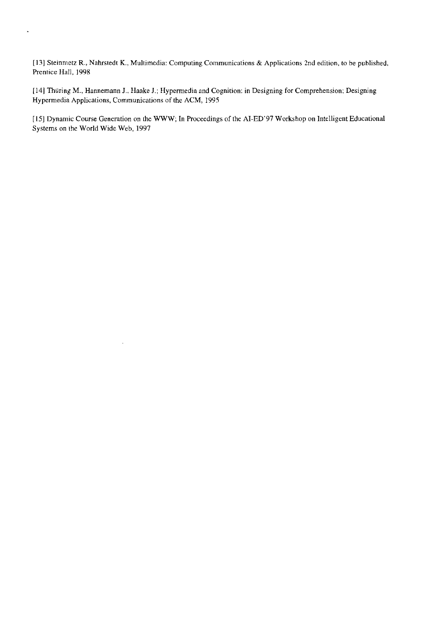1131 Steinmetz R., Nahrstedt K., Multimedia: Computing Cornmunications & Applications 2nd edition, to be published, Prentice Hall, 1998

 $\mathbf{r}$ 

(141 Thüring M., Hannemann J.. Haake J.; Hypermedia and Cognition: in Designing for Comprehension; Designing Hypermedia Applications, Communications of the ACM, 1995

[15] Dynamic Course Generation on the WWW; In Proceedings of the AI-ED'97 Workshop on Intelligent Educational Systems on the World Wide Web, 1997

 $\hat{\mathcal{A}}$